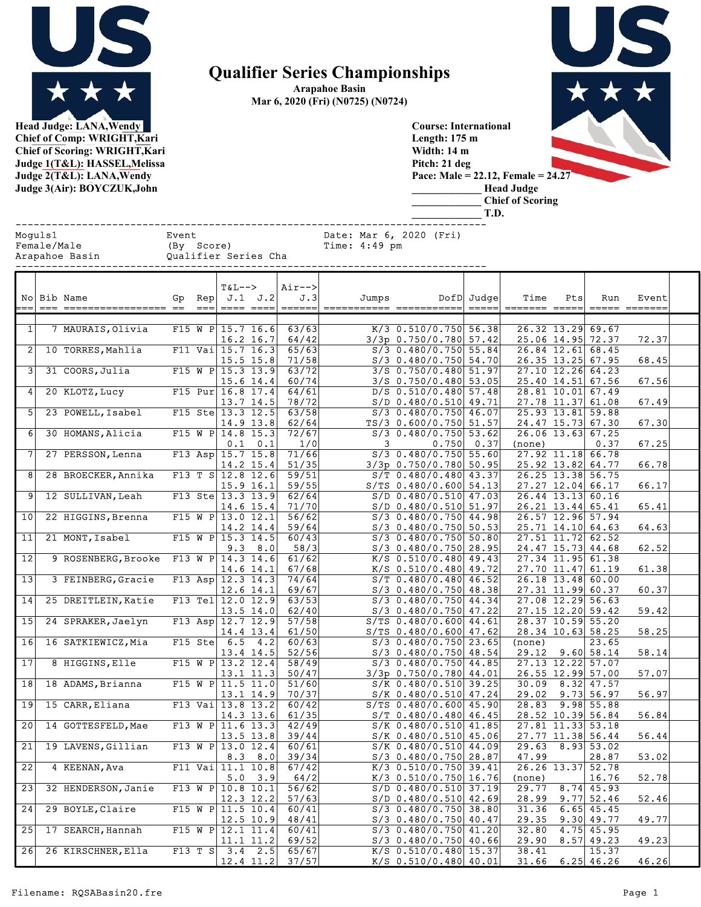

Arapahoe Basin Mar 6, 2020 (Fri) (N0725) (N0724)



Head Judge: LANA,Wendy Chief of Comp: WRIGHT,Kari Chief of Scoring: WRIGHT,Kari Judge 1(T&L): HASSEL,Melissa Judge 2(T&L): LANA,Wendy Judge 3(Air): BOYCZUK,John

Course: International Length: 175 m Width: 14 m Pitch: 21 deg Pace: Male = 22.12, Female = 24.27 \_\_\_\_\_\_\_\_\_\_\_\_\_ Head Judge \_\_\_\_\_\_\_\_\_\_\_\_\_ Chief of Scoring

\_\_\_\_\_\_\_\_\_\_\_\_\_ T.D.

|                 | Moguls1<br>---------- | Female/Male<br>Arapahoe Basin       Qualifier Series Cha | Event |                     |                      |                                                                                                                                                                                                                                                                                                                                                                                                                                                                                                                                                                                  |                                  | Date: Mar 6, 2020 (Fri)       |                          |                                                     |                         |                                               |     |                       |       |
|-----------------|-----------------------|----------------------------------------------------------|-------|---------------------|----------------------|----------------------------------------------------------------------------------------------------------------------------------------------------------------------------------------------------------------------------------------------------------------------------------------------------------------------------------------------------------------------------------------------------------------------------------------------------------------------------------------------------------------------------------------------------------------------------------|----------------------------------|-------------------------------|--------------------------|-----------------------------------------------------|-------------------------|-----------------------------------------------|-----|-----------------------|-------|
|                 |                       | No Bib Name                                              |       | $=$ $=$ $=$ $\vert$ | <b>T&amp;L--&gt;</b> | Gp Rep $J.1$ $J.2$<br>$\begin{tabular}{ll} \multicolumn{2}{l}{{\color{red}\boldsymbol{=}}} & \multicolumn{2}{l}{\color{blue}\boldsymbol{=}} & \multicolumn{2}{l}{\color{blue}\boldsymbol{=}} & \multicolumn{2}{l}{\color{blue}\boldsymbol{=}} & \multicolumn{2}{l}{\color{blue}\boldsymbol{=}} & \multicolumn{2}{l}{\color{blue}\boldsymbol{=}} & \multicolumn{2}{l}{\color{blue}\boldsymbol{=}} & \multicolumn{2}{l}{\color{blue}\boldsymbol{=}} & \multicolumn{2}{l}{\color{blue}\boldsymbol{=}} & \multicolumn{2}{l}{\color{blue}\boldsymbol{=}} & \multicolumn{2}{l}{\color$ | Air--><br>J.3<br>======          | =========== ============ ==== | Jumps                    |                                                     | DofD Judge              | Time<br>======= =====                         | Pts | Run<br>===== =======  | Event |
| 1               |                       | 7 MAURAIS, Olivia                                        |       |                     |                      | F15 W P $15.7$ 16.6<br>$16.2$ 16.7                                                                                                                                                                                                                                                                                                                                                                                                                                                                                                                                               | 63/63<br>64/42                   |                               |                          | $K/3$ 0.510/0.750 56.38<br>$3/3p$ 0.750/0.780 57.42 |                         | 26.32 13.29 69.67<br>25.06 14.95 72.37        |     |                       | 72.37 |
|                 |                       | 2 10 TORRES, Mahlia                                      |       |                     |                      | F11 Vai $15.7$ 16.3<br>$15.5$ $15.8$                                                                                                                                                                                                                                                                                                                                                                                                                                                                                                                                             | 65/63<br>71/58                   |                               |                          | $S/3$ 0.480/0.750 55.84<br>S/3 0.480/0.750 54.70    |                         | 26.84 12.61 68.45<br>26.35 13.25 67.95        |     |                       | 68.45 |
| 3               |                       | 31 COORS, Julia                                          |       |                     |                      | F15 W P 15.3 13.9<br>$15.6$ 14.4                                                                                                                                                                                                                                                                                                                                                                                                                                                                                                                                                 | 63/72<br>60/74                   |                               |                          | 3/S 0.750/0.480 51.97<br>$3/S$ 0.750/0.480 53.05    |                         | 27.10 12.26 64.23<br>25.40 14.51 67.56        |     |                       | 67.56 |
| 4               |                       | 20 KLOTZ, Lucy                                           |       |                     |                      | F15 Pur $16.8$ 17.4<br>$13.7$ 14.5                                                                                                                                                                                                                                                                                                                                                                                                                                                                                                                                               | 64/61<br>78/72                   |                               |                          | $D/S$ 0.510/0.480 57.48<br>$S/D$ 0.480/0.510 49.71  |                         | 28.81 10.01 67.49<br>27.78 11.37 61.08        |     |                       | 67.49 |
|                 |                       | 5 23 POWELL, Isabel                                      |       |                     |                      | F15 Ste $13.3$ 12.5<br>$14.9$ $13.8$                                                                                                                                                                                                                                                                                                                                                                                                                                                                                                                                             | 63/58<br>62/64                   |                               |                          | $S/3$ 0.480/0.750 46.07<br>$TS/3$ 0.600/0.750 51.57 |                         | 25.93 13.81 59.88<br>24.47 15.73 67.30        |     |                       | 67.30 |
| 6               |                       | 30 HOMANS, Alicia                                        |       |                     |                      | F15 W P $14.8$ 15.3<br>$0.1 \quad 0.1$                                                                                                                                                                                                                                                                                                                                                                                                                                                                                                                                           | 72/67<br>1/0                     |                               | $\overline{\phantom{a}}$ | $S/3$ 0.480/0.750 53.62                             | $0.750$ 0.37            | 26.06 13.63 67.25<br>(none)                   |     | 0.37                  | 67.25 |
|                 |                       | 7 27 PERSSON, Lenna                                      |       |                     |                      | F13 Asp $15.7$ 15.8<br>$14.2$ 15.4                                                                                                                                                                                                                                                                                                                                                                                                                                                                                                                                               | 71/66<br>51/35                   |                               |                          | $S/3$ 0.480/0.750 55.60<br>$3/3p$ 0.750/0.780 50.95 |                         | $27.92$ 11.18 66.78<br>25.92 13.82 64.77      |     |                       | 66.78 |
|                 |                       | 8 28 BROECKER, Annika                                    |       |                     |                      | F13 T S $12.8$ 12.6<br>$15.9$ 16.1                                                                                                                                                                                                                                                                                                                                                                                                                                                                                                                                               | 59/51<br>59/55                   |                               |                          | $S/T$ 0.480/0.480 43.37<br>$S/TS$ 0.480/0.600 54.13 |                         | 26.25 13.38 56.75<br>27.27 12.04 66.17        |     |                       | 66.17 |
|                 |                       | 9 12 SULLIVAN, Leah                                      |       |                     |                      | F13 Ste $13.3$ 13.9<br>$14.6$ 15.4                                                                                                                                                                                                                                                                                                                                                                                                                                                                                                                                               | 62/64<br>71/70                   |                               |                          | $S/D$ 0.480/0.510 47.03<br>$S/D$ 0.480/0.510 51.97  |                         | 26.44 13.13 60.16<br>$26.21$ 13.44 65.41      |     |                       | 65.41 |
| 10 <sup>1</sup> |                       | 22 HIGGINS, Brenna                                       |       |                     |                      | F15 W P 13.0 12.1<br>$14.2$ 14.4                                                                                                                                                                                                                                                                                                                                                                                                                                                                                                                                                 | 56/62<br>59/64                   |                               |                          | S/3 0.480/0.750 44.98<br>$S/3$ 0.480/0.750 50.53    |                         | 26.57 12.96 57.94<br>$25.71$ 14.10 64.63      |     |                       | 64.63 |
| 11              |                       | 21 MONT, Isabel                                          |       |                     |                      | F15 W P 15.3 14.5                                                                                                                                                                                                                                                                                                                                                                                                                                                                                                                                                                | 60/43                            |                               |                          | $S/3$ 0.480/0.750 50.80                             |                         | 27.51 11.72 62.52                             |     |                       |       |
| $\overline{12}$ |                       | 9 ROSENBERG, Brooke F13 W P $ 14.3 14.6 $                |       |                     |                      | $9.3 \t 8.0$                                                                                                                                                                                                                                                                                                                                                                                                                                                                                                                                                                     | 58/3<br>61/62                    |                               |                          | $S/3$ 0.480/0.750 28.95<br>$K/S$ 0.510/0.480 49.43  |                         | 24.47 15.73 44.68<br>27.34 11.95 61.38        |     |                       | 62.52 |
| 13              |                       | 3 FEINBERG, Gracie                                       |       |                     |                      | $14.6$ $14.1$<br>F13 Asp $ 12.3 14.3 $                                                                                                                                                                                                                                                                                                                                                                                                                                                                                                                                           | 67/68<br>74/64                   |                               |                          | $K/S$ 0.510/0.480 49.72<br>$S/T$ 0.480/0.480 46.52  |                         | 27.70 11.47 61.19<br>26.18 13.48 60.00        |     |                       | 61.38 |
| 14              |                       | 25 DREITLEIN, Katie                                      |       |                     |                      | $12.6$ 14.1<br>F13 Tel $12.0$ 12.9                                                                                                                                                                                                                                                                                                                                                                                                                                                                                                                                               | 69/67<br>63/53                   |                               |                          | S/3 0.480/0.750 48.38<br>S/3 0.480/0.750 44.34      |                         | 27.31 11.99 60.37<br>27.08 12.29 56.63        |     |                       | 60.37 |
| 15              |                       | 24 SPRAKER, Jaelyn                                       |       |                     |                      | $13.5$ 14.0<br>F13 Asp $12.7$ 12.9                                                                                                                                                                                                                                                                                                                                                                                                                                                                                                                                               | 62/40<br>57/58                   |                               |                          | $S/3$ 0.480/0.750 47.22<br>$S/TS$ 0.480/0.600 44.61 |                         | 27.15 12.20 59.42<br>28.37 10.59 55.20        |     |                       | 59.42 |
|                 |                       | 16 16 SATKIEWICZ, Mia                                    |       |                     |                      | $14.4$ 13.4<br>F15 Ste $6.5$ 4.2                                                                                                                                                                                                                                                                                                                                                                                                                                                                                                                                                 | 61/50<br>60/63                   |                               |                          | $S/TS$ 0.480/0.600 47.62<br>S/3 0.480/0.750 23.65   |                         | 28.34 10.63 58.25<br>(none)                   |     | 23.65                 | 58.25 |
| 17              |                       | 8 HIGGINS, Elle                                          |       |                     |                      | $13.4$ 14.5<br>$\boxed{\text{F15 W P} 13.2 12.4}$                                                                                                                                                                                                                                                                                                                                                                                                                                                                                                                                | 52/56<br>58/49                   |                               |                          | $S/3$ 0.480/0.750 48.54<br>S/3 0.480/0.750 44.85    |                         | $29.12$ $9.60$ 58.14<br>$27.13$ $12.22$ 57.07 |     |                       | 58.14 |
| 18              |                       | 18 ADAMS, Brianna                                        |       |                     |                      | $13.1$ $11.3$<br>F15 W P $11.5$ 11.0                                                                                                                                                                                                                                                                                                                                                                                                                                                                                                                                             | 50/47<br>51/60                   |                               |                          | $3/3p$ 0.750/0.780 44.01<br>S/K 0.480/0.510 39.25   |                         | 26.55 12.99 57.00<br>$30.09$ $8.32$ $47.57$   |     |                       | 57.07 |
|                 |                       | 19 15 CARR, Eliana                                       |       |                     |                      | $13.1$ $14.9$<br>F13 Vai 13.8 13.2                                                                                                                                                                                                                                                                                                                                                                                                                                                                                                                                               | 70/37<br>60/42                   |                               |                          | $S/K$ 0.480/0.510 47.24<br>$S/TS$ 0.480/0.600 45.90 |                         | $29.02$ $9.73$ 56.97<br>28.83 9.98 55.88      |     |                       | 56.97 |
|                 |                       | 20 14 GOTTESFELD, Mae                                    |       |                     |                      | $14.3$ 13.6                                                                                                                                                                                                                                                                                                                                                                                                                                                                                                                                                                      | 61/35<br>F13 W P 11.6 13.3 42/49 |                               |                          | $S/T$ 0.480/0.480 46.45<br>$S/K$ 0.480/0.510 41.85  |                         | 28.52 10.39 56.84<br>27.81 11.33 53.18        |     |                       | 56.84 |
| $\overline{21}$ |                       | 19 LAVENS, Gillian                                       |       |                     |                      | F13 W P 13.0 12.4                                                                                                                                                                                                                                                                                                                                                                                                                                                                                                                                                                | 13.5 13.8  39/44 <br>60/61       |                               |                          | $S/K$ 0.480/0.510 44.09                             | $S/K$ 0.480/0.510 45.06 | $29.63$ $8.93$ 53.02                          |     | $27.77$ 11.38 56.44   | 56.44 |
| 22              |                       | 4 KEENAN, Ava                                            |       |                     |                      | $8.3$ $8.0$<br>F11 Vai $11.1$ 10.8                                                                                                                                                                                                                                                                                                                                                                                                                                                                                                                                               | 39/34<br>67/42                   |                               |                          | $S/3$ 0.480/0.750 28.87<br>$K/3$ 0.510/0.750 39.41  |                         | 47.99<br>26.26 13.37 52.78                    |     | 28.87                 | 53.02 |
| 23              |                       | 32 HENDERSON, Janie                                      |       |                     |                      | $5.0 \t3.9$<br>F13 W P 10.8 10.1                                                                                                                                                                                                                                                                                                                                                                                                                                                                                                                                                 | 64/2<br>56/62                    |                               |                          | $K/3$ 0.510/0.750 16.76<br>$S/D$ 0.480/0.510 37.19  |                         | (none)<br>29.77                               |     | 16.76<br>$8.74$ 45.93 | 52.78 |
| 24              |                       | 29 BOYLE, Claire                                         |       |                     |                      | 12.3 12.2<br>F15 W P $11.5$ 10.4                                                                                                                                                                                                                                                                                                                                                                                                                                                                                                                                                 | 57/63<br>60/41                   |                               |                          | $S/D$ 0.480/0.510 42.69<br>$S/3$ 0.480/0.750 38.80  |                         | 28.99<br>$31.36$ 6.65 45.45                   |     | $9.77$ 52.46          | 52.46 |
| 25              |                       | 17 SEARCH, Hannah                                        |       |                     |                      | $12.5$ 10.9<br>$F15$ W P 12.1 11.4                                                                                                                                                                                                                                                                                                                                                                                                                                                                                                                                               | 48/41<br>60/41                   |                               |                          | $S/3$ 0.480/0.750 40.47<br>$S/3$ 0.480/0.750 41.20  |                         | 29.35 9.30 49.77<br>32.80                     |     | $4.75$ 45.95          | 49.77 |
| 26              |                       | 26 KIRSCHNER, Ella                                       |       |                     |                      | 11.1 11.2<br>F13 T S $3.4$ 2.5                                                                                                                                                                                                                                                                                                                                                                                                                                                                                                                                                   | 69/52<br>65/67                   |                               |                          | $S/3$ 0.480/0.750 40.66<br>$K/S$ 0.510/0.480 15.37  |                         | $29.90$ 8.57 49.23<br>38.41                   |     | 15.37                 | 49.23 |
|                 |                       |                                                          |       |                     |                      | $12.4$ 11.2                                                                                                                                                                                                                                                                                                                                                                                                                                                                                                                                                                      | 37/57                            |                               |                          | $K/S$ 0.510/0.480 40.01                             |                         | 31.66                                         |     | $6.25$ 46.26          | 46.26 |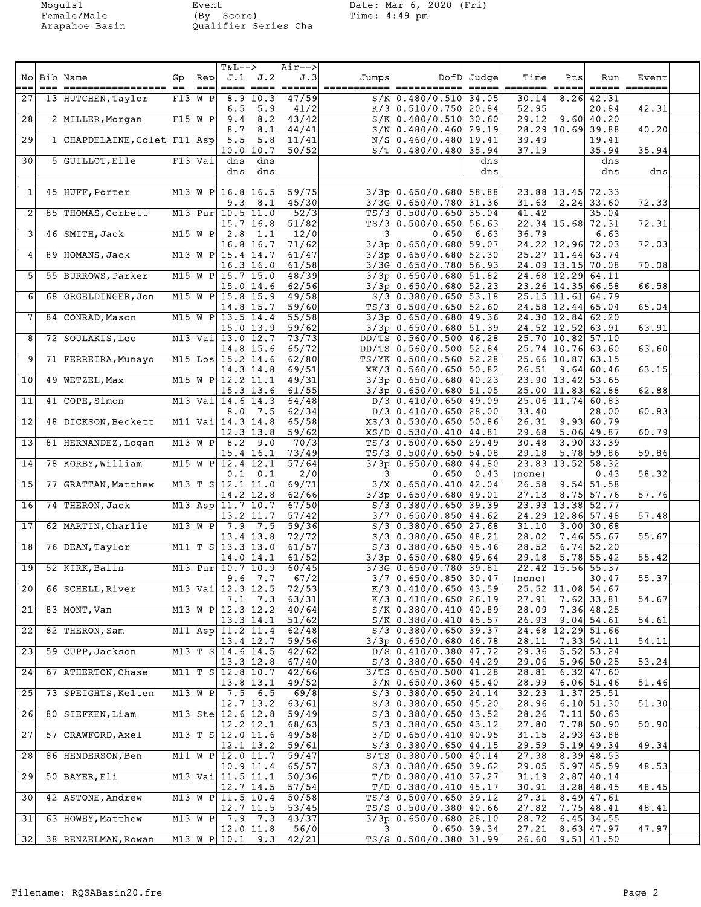Arapahoe Basin Qualifier Series Cha

Moguls1 Event Date: Mar 6, 2020 (Fri) Female/Male (By Score) Time: 4:49 pm

| 27<br>13 HUTCHEN, Taylor<br>$F13$ W P $8.9$ 10.3<br>47/59<br>$S/K$ 0.480/0.510 34.05<br>30.14<br>$8.26$ 42.31<br>5.9<br>41/2<br>$K/3$ 0.510/0.750 20.84<br>52.95<br>42.31<br>6.5<br>20.84<br>28<br>2 MILLER, Morgan<br>$F15$ W P<br>8.2<br>43/42<br>29.12<br>$9.60$ 40.20<br>9.4<br>$S/K$ 0.480/0.510 30.60<br>40.20<br>8.7<br>8.1<br>44/41<br>$S/N$ 0.480/0.460 29.19<br>28.29 10.69 39.88<br>$\overline{29}$<br>1 CHAPDELAINE, Colet F11 Asp<br>5.5<br>5.8<br>11/41<br>N/S 0.460/0.480 19.41<br>39.49<br>19.41<br>35.94<br>10.0 10.7<br>50/52<br>37.19<br>35.94<br>$S/T$ 0.480/0.480 35.94<br>30<br>5 GUILLOT, Elle<br>$F13$ Vai dns<br>dns<br>dns<br>dns<br>dns<br>dns<br>dns<br>dns<br>dns<br>$3/3p$ 0.650/0.680 58.88<br>$\mathbf{1}$<br>45 HUFF, Porter<br>M13 W P 16.8 16.5<br>59/75<br>23.88 13.45 72.33<br>45/30<br>72.33<br>$9.3 \t 8.1$<br>3/3G 0.650/0.780 31.36<br>$31.63$ $2.24$ 33.60<br>$\mathbf{2}$<br>52/3<br>85 THOMAS, Corbett<br>M13 Pur 10.5 11.0<br>$TS/3$ 0.500/0.650 35.04<br>41.42<br>35.04<br>$15.7$ 16.8<br>51/82<br>$TS/3$ 0.500/0.650 56.63<br>22.34 15.68 72.31<br>72.31<br>$\vert$ 3<br>$M15 W P$ 2.8 1.1<br>12/0<br>3<br>$0.650$ 6.63<br>36.79<br>6.63<br>46 SMITH, Jack<br>71/62<br>$3/3p$ 0.650/0.680 59.07<br>24.22 12.96 72.03<br>72.03<br>16.8 16.7<br>61/47<br>$3/3p$ 0.650/0.680 52.30<br>$25.27$ 11.44 63.74<br>$\vert 4 \vert$<br>89 HOMANS, Jack<br>M13 W P 15.4 14.7<br>70.08<br>$16.3$ $16.0$<br>61/58<br>3/3G 0.650/0.780 56.93<br>24.09 13.15 70.08<br>$\vert 5 \vert$<br>M15 W P $15.7$ 15.0<br>48/39<br>$3/3p$ 0.650/0.680 51.82<br>24.68 12.29 64.11<br>55 BURROWS, Parker<br>66.58<br>62/56<br>15.0 14.6<br>$3/3p$ 0.650/0.680 52.23<br>23.26 14.35 66.58<br>49/58<br>-61<br>68 ORGELDINGER, Jon<br>M15 W P $15.8$ 15.9<br>$S/3$ 0.380/0.650 53.18<br>25.15 11.61 64.79<br>65.04<br>59/60<br>$TS/3$ 0.500/0.650 52.60<br>14.8 15.7<br>24.58 12.44 65.04<br>55/58<br>$3/3p$ 0.650/0.680 49.36<br>24.30 12.84 62.20<br>7<br>84 CONRAD, Mason<br>M15 W P $13.5$ 14.4<br>63.91<br>15.0 13.9<br>59/62<br>$3/3p$ 0.650/0.680 51.39<br>24.52 12.52 63.91<br>8 <sup>1</sup><br>72 SOULAKIS, Leo<br>M13 Vai 13.0 12.7<br>73/73<br>DD/TS 0.560/0.500 46.28<br>25.70 10.82 57.10<br>63.60<br>14.8 15.6<br>65/72<br>DD/TS 0.560/0.500 52.84<br>25.74 10.76 63.60<br>$\mathsf{9}$<br>71 FERREIRA, Munavo<br>M15 Los $15.2$ 14.6<br>62/80<br>TS/YK 0.500/0.560 52.28<br>25.66 10.87 63.15<br>63.15<br>14.3 14.8<br>69/51<br>XK/3 0.560/0.650 50.82<br>$26.51$ 9.64 60.46<br>49 WETZEL, Max<br>$\overline{M15 W P 12.2} 11.1$<br>49/31<br>$3/3p$ 0.650/0.680 40.23<br>23.90 13.42 53.65<br> 10 <br>61/55<br>62.88<br>15.3 13.6<br>$3/3p$ 0.650/0.680 51.05<br>25.00 11.83 62.88<br>11<br>41 COPE, Simon<br>64/48<br>$D/3$ 0.410/0.650 49.09<br>25.06 11.74 60.83<br>M13 Vai 14.6 14.3<br>60.83<br>62/34<br>$D/3$ 0.410/0.650 28.00<br>33.40<br>28.00<br>$8.0$ 7.5<br> 12 <br>65/58<br>26.31<br>9.93 60.79<br>48 DICKSON, Beckett<br>M11 Vai 14.3 14.8<br>XS/3 0.530/0.650 50.86<br>59/62<br>5.06 49.87<br>60.79<br>12.3 13.8<br>29.68<br>XS/D 0.530/0.410 44.81<br>13<br>70/3<br>$\overline{3.90}$ 33.39<br>81 HERNANDEZ, Logan<br>$M13$ W P 8.2 9.0<br>$TS/3$ 0.500/0.650 29.49<br>30.48<br>59.86<br>$5.78$ 59.86<br>15.4 16.1<br>73/49<br>$TS/3$ 0.500/0.650 54.08<br>29.18<br>14<br>57/64<br>78 KORBY, William<br>M15 W P $12.4$ 12.1<br>$3/3p$ 0.650/0.680 44.80<br>23.83 13.52 58.32<br>58.32<br>0.1<br>2/0<br>0.650<br>0.1<br>0.43<br>(none)<br>0.43<br>3<br> 15 <br>69/71<br>M13 T S 12.1 11.0<br>26.58<br>77 GRATTAN, Matthew<br>$3/X$ 0.650/0.410 42.04<br>$9.54$ 51.58<br>57.76<br>14.2 12.8<br>62/66<br>$3/3p$ 0.650/0.680 49.01<br>$27.13$ $8.75$ 57.76<br>16<br>74 THERON, Jack<br>M13 Asp 11.7 10.7<br>67/50<br>$S/3$ 0.380/0.650 39.39<br>23.93 13.38 52.77<br>13.2 11.7<br>57/42<br>24.29 12.86 57.48<br>57.48<br>$3/7$ 0.650/0.850 44.62<br>$\overline{17}$<br>62 MARTIN, Charlie<br>M13 W P $7.9$ 7.5<br>59/36<br>$31.10$ $3.00$ 30.68<br>$S/3$ 0.380/0.650 27.68<br>55.67<br>13.4 13.8<br>72/72<br>$S/3$ 0.380/0.650 48.21<br>28.02<br>7.46 55.67<br>61/57<br>18<br>76 DEAN, Taylor<br>M11 T S 13.3 13.0<br>$S/3$ 0.380/0.650 45.46<br>$28.52 \quad 6.74$ 52.20<br>61/52<br>$5.78$ 55.42<br>55.42<br>14.0 14.1<br>$3/3p$ 0.650/0.680 49.64<br>29.18<br>19<br>M13 Pur 10.7 10.9<br>60/45<br>22.42 15.56 55.37<br>52 KIRK, Balin<br>3/3G 0.650/0.780 39.81<br>67/2<br>55.37<br>$9.6$ 7.7<br>$3/7$ 0.650/0.850 30.47<br>30.47<br>(none)<br>$\overline{20}$<br>72/53<br>66 SCHELL, River<br>M13 Vai $ 12.3 12.5 $<br>$K/3$ 0.410/0.650 43.59<br>25.52 11.08 54.67<br>63/31<br>$K/3$ 0.410/0.650 26.19<br>$27.91$ $7.62$ 33.81<br>54.67<br>$7.1$ $7.3$<br>M13 W P 12.3 12.2<br>21<br>83 MONT, Van<br>40/64<br>$S/K$ 0.380/0.410 40.89<br>28.09 7.36 48.25<br>51/62<br>54.61<br>$13.3$ 14.1<br>$S/K$ 0.380/0.410 45.57<br>$26.93$ $9.04$ 54.61<br> 22 <br>62/48<br>$S/3$ 0.380/0.650 39.37<br>24.68 12.29 51.66<br>82 THERON, Sam<br>M11 Asp $ 11.2 11.4 $<br>$13.4$ 12.7<br>59/56<br>$3/3p$ 0.650/0.680 46.78<br>28.11 7.33 54.11<br>54.11<br>$D/S$ 0.410/0.380 47.72<br>$29.36$ $5.52$ $53.24$<br>23<br>59 CUPP, Jackson<br>M13 T S $14.6$ 14.5<br>42/62<br>67/40<br>$S/3$ 0.380/0.650 44.29<br>29.06 5.96 50.25<br>53.24<br>$13.3$ $12.8$<br>$\boxed{24}$<br>67 ATHERTON, Chase<br>$3/TS$ 0.650/0.500 41.28<br>$6.32$ 47.60<br>M11 T S $12.8$ 10.7<br>42/66<br>28.81<br>13.8 13.1<br>49/52<br>$3/N$ 0.650/0.360 45.40<br>28.99<br>$6.06$ 51.46<br>51.46<br>$S/3$ 0.380/0.650 24.14<br>$1.37$ 25.51<br>25<br>73 SPEIGHTS, Kelten<br>M13 W P 7.5 6.5<br>69/8<br>32.23<br>63/61<br>6.10 51.30<br>51.30<br>$12.7$ 13.2<br>$S/3$ 0.380/0.650 45.20<br>28.96<br>26<br>$S/3$ 0.380/0.650 43.52<br>$7.11$ 50.63<br>80 SIEFKEN, Liam<br>M13 Ste 12.6 12.8<br>59/49<br>28.26<br>$7.78$ 50.90<br>50.90<br>$12.2$ $12.1$<br>68/63<br>$S/3$ 0.380/0.650 43.12<br>27.80<br>27<br>57 CRAWFORD, Axel<br>$3/D$ 0.650/0.410 40.95<br>2.93 43.88<br>M13 T S $12.0$ 11.6<br>49/58<br>31.15<br>59/61<br>5.19 49.34<br>49.34<br>$12.1$ $13.2$<br>$S/3$ 0.380/0.650 44.15<br>29.59<br>$\overline{28}$<br>86 HENDERSON, Ben<br>M11 W P $12.0$ 11.7<br>59/47<br>$S/TS$ 0.380/0.500 40.14<br>8.39 48.53<br>27.38<br>$10.9$ 11.4<br>65/57<br>$S/3$ 0.380/0.650 39.62<br>29.05<br>$5.97$ 45.59<br>48.53<br>$2.87$ 40.14<br>29<br>50 BAYER, Eli<br>M13 Vai $11.5$ 11.1<br>50/36<br>$T/D$ 0.380/0.410 37.27<br>31.19<br>57/54<br>$T/D$ 0.380/0.410 45.17<br>$3.28$ 48.45<br>48.45<br>$12.7$ 14.5<br>30.91<br>30<br>42 ASTONE, Andrew<br>M13 W P $11.5$ 10.4<br>50/58<br>$TS/3$ 0.500/0.650 39.12<br>$27.31$ $8.49$ $47.61$<br>48.41<br>$12.7$ 11.5<br>53/45<br>TS/S 0.500/0.380 40.66<br>27.82<br>$7.75$ 48.41<br>31<br>63 HOWEY, Matthew<br>M13 W P $7.9$ 7.3<br>43/37<br>$3/3p$ 0.650/0.680 28.10<br>28.72 6.45 34.55<br>$12.0$ 11.8<br>56/0<br>$0.650$ 39.34<br>$8.63$ 47.97<br>47.97<br>3.<br>27.21<br>TS/S 0.500/0.380 31.99<br>$9.51$ 41.50<br>32<br>38 RENZELMAN, Rowan<br>M13 W P $10.1$ 9.3<br>42/21<br>26.60 | $=$ | No Bib Name<br>$==$<br>================= == | Gp Rep<br>$=$ $=$ $=$ $\mid$ | T&L--><br>$====$ | $J.1$ $J.2$<br>$=$ $=$ $=$ $=$ | $Air--$<br>J.3<br>$\qquad \qquad \doteq\qquad \qquad \doteq\qquad \qquad \qquad$ | Jumps<br>=========== | =========== | DofD Judge<br>$\qquad \qquad \doteq \qquad \qquad \doteq \qquad \qquad \doteq \qquad \qquad$ | Time<br>======= | Pts<br>$\qquad \qquad \doteq \qquad \qquad \doteq \qquad \qquad \doteq \qquad \qquad$ | Run<br>$\qquad \qquad \displaystyle =\qquad \qquad \displaystyle =\qquad \qquad$ | Event |  |
|----------------------------------------------------------------------------------------------------------------------------------------------------------------------------------------------------------------------------------------------------------------------------------------------------------------------------------------------------------------------------------------------------------------------------------------------------------------------------------------------------------------------------------------------------------------------------------------------------------------------------------------------------------------------------------------------------------------------------------------------------------------------------------------------------------------------------------------------------------------------------------------------------------------------------------------------------------------------------------------------------------------------------------------------------------------------------------------------------------------------------------------------------------------------------------------------------------------------------------------------------------------------------------------------------------------------------------------------------------------------------------------------------------------------------------------------------------------------------------------------------------------------------------------------------------------------------------------------------------------------------------------------------------------------------------------------------------------------------------------------------------------------------------------------------------------------------------------------------------------------------------------------------------------------------------------------------------------------------------------------------------------------------------------------------------------------------------------------------------------------------------------------------------------------------------------------------------------------------------------------------------------------------------------------------------------------------------------------------------------------------------------------------------------------------------------------------------------------------------------------------------------------------------------------------------------------------------------------------------------------------------------------------------------------------------------------------------------------------------------------------------------------------------------------------------------------------------------------------------------------------------------------------------------------------------------------------------------------------------------------------------------------------------------------------------------------------------------------------------------------------------------------------------------------------------------------------------------------------------------------------------------------------------------------------------------------------------------------------------------------------------------------------------------------------------------------------------------------------------------------------------------------------------------------------------------------------------------------------------------------------------------------------------------------------------------------------------------------------------------------------------------------------------------------------------------------------------------------------------------------------------------------------------------------------------------------------------------------------------------------------------------------------------------------------------------------------------------------------------------------------------------------------------------------------------------------------------------------------------------------------------------------------------------------------------------------------------------------------------------------------------------------------------------------------------------------------------------------------------------------------------------------------------------------------------------------------------------------------------------------------------------------------------------------------------------------------------------------------------------------------------------------------------------------------------------------------------------------------------------------------------------------------------------------------------------------------------------------------------------------------------------------------------------------------------------------------------------------------------------------------------------------------------------------------------------------------------------------------------------------------------------------------------------------------------------------------------------------------------------------------------------------------------------------------------------------------------------------------------------------------------------------------------------------------------------------------------------------------------------------------------------------------------------------------------------------------------------------------------------------------------------------------------------------------------------------------------------------------------------------------------------------------------------------------------------------------------------------------------------------------------------------------------------------------------------------------------------------------------------------------------------------------------------------------------------------------------------------------------------------------------------------------------------------------------------------------------------------------------------------------------------------------------------------------------------------------------------------------------------------------------------------------------------------------------------------------------------------------------------------------------------------------------------------------------------------------------------------------------------------------------------------------------------------------------------------------------------------------------------------------------------------------------------------------------------------------------------------------------------------------------------------------------------------|-----|---------------------------------------------|------------------------------|------------------|--------------------------------|----------------------------------------------------------------------------------|----------------------|-------------|----------------------------------------------------------------------------------------------|-----------------|---------------------------------------------------------------------------------------|----------------------------------------------------------------------------------|-------|--|
|                                                                                                                                                                                                                                                                                                                                                                                                                                                                                                                                                                                                                                                                                                                                                                                                                                                                                                                                                                                                                                                                                                                                                                                                                                                                                                                                                                                                                                                                                                                                                                                                                                                                                                                                                                                                                                                                                                                                                                                                                                                                                                                                                                                                                                                                                                                                                                                                                                                                                                                                                                                                                                                                                                                                                                                                                                                                                                                                                                                                                                                                                                                                                                                                                                                                                                                                                                                                                                                                                                                                                                                                                                                                                                                                                                                                                                                                                                                                                                                                                                                                                                                                                                                                                                                                                                                                                                                                                                                                                                                                                                                                                                                                                                                                                                                                                                                                                                                                                                                                                                                                                                                                                                                                                                                                                                                                                                                                                                                                                                                                                                                                                                                                                                                                                                                                                                                                                                                                                                                                                                                                                                                                                                                                                                                                                                                                                                                                                                                                                                                                                                                                                                                                                                                                                                                                                                                                                                                                                                                                                                              |     |                                             |                              |                  |                                |                                                                                  |                      |             |                                                                                              |                 |                                                                                       |                                                                                  |       |  |
|                                                                                                                                                                                                                                                                                                                                                                                                                                                                                                                                                                                                                                                                                                                                                                                                                                                                                                                                                                                                                                                                                                                                                                                                                                                                                                                                                                                                                                                                                                                                                                                                                                                                                                                                                                                                                                                                                                                                                                                                                                                                                                                                                                                                                                                                                                                                                                                                                                                                                                                                                                                                                                                                                                                                                                                                                                                                                                                                                                                                                                                                                                                                                                                                                                                                                                                                                                                                                                                                                                                                                                                                                                                                                                                                                                                                                                                                                                                                                                                                                                                                                                                                                                                                                                                                                                                                                                                                                                                                                                                                                                                                                                                                                                                                                                                                                                                                                                                                                                                                                                                                                                                                                                                                                                                                                                                                                                                                                                                                                                                                                                                                                                                                                                                                                                                                                                                                                                                                                                                                                                                                                                                                                                                                                                                                                                                                                                                                                                                                                                                                                                                                                                                                                                                                                                                                                                                                                                                                                                                                                                              |     |                                             |                              |                  |                                |                                                                                  |                      |             |                                                                                              |                 |                                                                                       |                                                                                  |       |  |
|                                                                                                                                                                                                                                                                                                                                                                                                                                                                                                                                                                                                                                                                                                                                                                                                                                                                                                                                                                                                                                                                                                                                                                                                                                                                                                                                                                                                                                                                                                                                                                                                                                                                                                                                                                                                                                                                                                                                                                                                                                                                                                                                                                                                                                                                                                                                                                                                                                                                                                                                                                                                                                                                                                                                                                                                                                                                                                                                                                                                                                                                                                                                                                                                                                                                                                                                                                                                                                                                                                                                                                                                                                                                                                                                                                                                                                                                                                                                                                                                                                                                                                                                                                                                                                                                                                                                                                                                                                                                                                                                                                                                                                                                                                                                                                                                                                                                                                                                                                                                                                                                                                                                                                                                                                                                                                                                                                                                                                                                                                                                                                                                                                                                                                                                                                                                                                                                                                                                                                                                                                                                                                                                                                                                                                                                                                                                                                                                                                                                                                                                                                                                                                                                                                                                                                                                                                                                                                                                                                                                                                              |     |                                             |                              |                  |                                |                                                                                  |                      |             |                                                                                              |                 |                                                                                       |                                                                                  |       |  |
|                                                                                                                                                                                                                                                                                                                                                                                                                                                                                                                                                                                                                                                                                                                                                                                                                                                                                                                                                                                                                                                                                                                                                                                                                                                                                                                                                                                                                                                                                                                                                                                                                                                                                                                                                                                                                                                                                                                                                                                                                                                                                                                                                                                                                                                                                                                                                                                                                                                                                                                                                                                                                                                                                                                                                                                                                                                                                                                                                                                                                                                                                                                                                                                                                                                                                                                                                                                                                                                                                                                                                                                                                                                                                                                                                                                                                                                                                                                                                                                                                                                                                                                                                                                                                                                                                                                                                                                                                                                                                                                                                                                                                                                                                                                                                                                                                                                                                                                                                                                                                                                                                                                                                                                                                                                                                                                                                                                                                                                                                                                                                                                                                                                                                                                                                                                                                                                                                                                                                                                                                                                                                                                                                                                                                                                                                                                                                                                                                                                                                                                                                                                                                                                                                                                                                                                                                                                                                                                                                                                                                                              |     |                                             |                              |                  |                                |                                                                                  |                      |             |                                                                                              |                 |                                                                                       |                                                                                  |       |  |
|                                                                                                                                                                                                                                                                                                                                                                                                                                                                                                                                                                                                                                                                                                                                                                                                                                                                                                                                                                                                                                                                                                                                                                                                                                                                                                                                                                                                                                                                                                                                                                                                                                                                                                                                                                                                                                                                                                                                                                                                                                                                                                                                                                                                                                                                                                                                                                                                                                                                                                                                                                                                                                                                                                                                                                                                                                                                                                                                                                                                                                                                                                                                                                                                                                                                                                                                                                                                                                                                                                                                                                                                                                                                                                                                                                                                                                                                                                                                                                                                                                                                                                                                                                                                                                                                                                                                                                                                                                                                                                                                                                                                                                                                                                                                                                                                                                                                                                                                                                                                                                                                                                                                                                                                                                                                                                                                                                                                                                                                                                                                                                                                                                                                                                                                                                                                                                                                                                                                                                                                                                                                                                                                                                                                                                                                                                                                                                                                                                                                                                                                                                                                                                                                                                                                                                                                                                                                                                                                                                                                                                              |     |                                             |                              |                  |                                |                                                                                  |                      |             |                                                                                              |                 |                                                                                       |                                                                                  |       |  |
|                                                                                                                                                                                                                                                                                                                                                                                                                                                                                                                                                                                                                                                                                                                                                                                                                                                                                                                                                                                                                                                                                                                                                                                                                                                                                                                                                                                                                                                                                                                                                                                                                                                                                                                                                                                                                                                                                                                                                                                                                                                                                                                                                                                                                                                                                                                                                                                                                                                                                                                                                                                                                                                                                                                                                                                                                                                                                                                                                                                                                                                                                                                                                                                                                                                                                                                                                                                                                                                                                                                                                                                                                                                                                                                                                                                                                                                                                                                                                                                                                                                                                                                                                                                                                                                                                                                                                                                                                                                                                                                                                                                                                                                                                                                                                                                                                                                                                                                                                                                                                                                                                                                                                                                                                                                                                                                                                                                                                                                                                                                                                                                                                                                                                                                                                                                                                                                                                                                                                                                                                                                                                                                                                                                                                                                                                                                                                                                                                                                                                                                                                                                                                                                                                                                                                                                                                                                                                                                                                                                                                                              |     |                                             |                              |                  |                                |                                                                                  |                      |             |                                                                                              |                 |                                                                                       |                                                                                  |       |  |
|                                                                                                                                                                                                                                                                                                                                                                                                                                                                                                                                                                                                                                                                                                                                                                                                                                                                                                                                                                                                                                                                                                                                                                                                                                                                                                                                                                                                                                                                                                                                                                                                                                                                                                                                                                                                                                                                                                                                                                                                                                                                                                                                                                                                                                                                                                                                                                                                                                                                                                                                                                                                                                                                                                                                                                                                                                                                                                                                                                                                                                                                                                                                                                                                                                                                                                                                                                                                                                                                                                                                                                                                                                                                                                                                                                                                                                                                                                                                                                                                                                                                                                                                                                                                                                                                                                                                                                                                                                                                                                                                                                                                                                                                                                                                                                                                                                                                                                                                                                                                                                                                                                                                                                                                                                                                                                                                                                                                                                                                                                                                                                                                                                                                                                                                                                                                                                                                                                                                                                                                                                                                                                                                                                                                                                                                                                                                                                                                                                                                                                                                                                                                                                                                                                                                                                                                                                                                                                                                                                                                                                              |     |                                             |                              |                  |                                |                                                                                  |                      |             |                                                                                              |                 |                                                                                       |                                                                                  |       |  |
|                                                                                                                                                                                                                                                                                                                                                                                                                                                                                                                                                                                                                                                                                                                                                                                                                                                                                                                                                                                                                                                                                                                                                                                                                                                                                                                                                                                                                                                                                                                                                                                                                                                                                                                                                                                                                                                                                                                                                                                                                                                                                                                                                                                                                                                                                                                                                                                                                                                                                                                                                                                                                                                                                                                                                                                                                                                                                                                                                                                                                                                                                                                                                                                                                                                                                                                                                                                                                                                                                                                                                                                                                                                                                                                                                                                                                                                                                                                                                                                                                                                                                                                                                                                                                                                                                                                                                                                                                                                                                                                                                                                                                                                                                                                                                                                                                                                                                                                                                                                                                                                                                                                                                                                                                                                                                                                                                                                                                                                                                                                                                                                                                                                                                                                                                                                                                                                                                                                                                                                                                                                                                                                                                                                                                                                                                                                                                                                                                                                                                                                                                                                                                                                                                                                                                                                                                                                                                                                                                                                                                                              |     |                                             |                              |                  |                                |                                                                                  |                      |             |                                                                                              |                 |                                                                                       |                                                                                  |       |  |
|                                                                                                                                                                                                                                                                                                                                                                                                                                                                                                                                                                                                                                                                                                                                                                                                                                                                                                                                                                                                                                                                                                                                                                                                                                                                                                                                                                                                                                                                                                                                                                                                                                                                                                                                                                                                                                                                                                                                                                                                                                                                                                                                                                                                                                                                                                                                                                                                                                                                                                                                                                                                                                                                                                                                                                                                                                                                                                                                                                                                                                                                                                                                                                                                                                                                                                                                                                                                                                                                                                                                                                                                                                                                                                                                                                                                                                                                                                                                                                                                                                                                                                                                                                                                                                                                                                                                                                                                                                                                                                                                                                                                                                                                                                                                                                                                                                                                                                                                                                                                                                                                                                                                                                                                                                                                                                                                                                                                                                                                                                                                                                                                                                                                                                                                                                                                                                                                                                                                                                                                                                                                                                                                                                                                                                                                                                                                                                                                                                                                                                                                                                                                                                                                                                                                                                                                                                                                                                                                                                                                                                              |     |                                             |                              |                  |                                |                                                                                  |                      |             |                                                                                              |                 |                                                                                       |                                                                                  |       |  |
|                                                                                                                                                                                                                                                                                                                                                                                                                                                                                                                                                                                                                                                                                                                                                                                                                                                                                                                                                                                                                                                                                                                                                                                                                                                                                                                                                                                                                                                                                                                                                                                                                                                                                                                                                                                                                                                                                                                                                                                                                                                                                                                                                                                                                                                                                                                                                                                                                                                                                                                                                                                                                                                                                                                                                                                                                                                                                                                                                                                                                                                                                                                                                                                                                                                                                                                                                                                                                                                                                                                                                                                                                                                                                                                                                                                                                                                                                                                                                                                                                                                                                                                                                                                                                                                                                                                                                                                                                                                                                                                                                                                                                                                                                                                                                                                                                                                                                                                                                                                                                                                                                                                                                                                                                                                                                                                                                                                                                                                                                                                                                                                                                                                                                                                                                                                                                                                                                                                                                                                                                                                                                                                                                                                                                                                                                                                                                                                                                                                                                                                                                                                                                                                                                                                                                                                                                                                                                                                                                                                                                                              |     |                                             |                              |                  |                                |                                                                                  |                      |             |                                                                                              |                 |                                                                                       |                                                                                  |       |  |
|                                                                                                                                                                                                                                                                                                                                                                                                                                                                                                                                                                                                                                                                                                                                                                                                                                                                                                                                                                                                                                                                                                                                                                                                                                                                                                                                                                                                                                                                                                                                                                                                                                                                                                                                                                                                                                                                                                                                                                                                                                                                                                                                                                                                                                                                                                                                                                                                                                                                                                                                                                                                                                                                                                                                                                                                                                                                                                                                                                                                                                                                                                                                                                                                                                                                                                                                                                                                                                                                                                                                                                                                                                                                                                                                                                                                                                                                                                                                                                                                                                                                                                                                                                                                                                                                                                                                                                                                                                                                                                                                                                                                                                                                                                                                                                                                                                                                                                                                                                                                                                                                                                                                                                                                                                                                                                                                                                                                                                                                                                                                                                                                                                                                                                                                                                                                                                                                                                                                                                                                                                                                                                                                                                                                                                                                                                                                                                                                                                                                                                                                                                                                                                                                                                                                                                                                                                                                                                                                                                                                                                              |     |                                             |                              |                  |                                |                                                                                  |                      |             |                                                                                              |                 |                                                                                       |                                                                                  |       |  |
|                                                                                                                                                                                                                                                                                                                                                                                                                                                                                                                                                                                                                                                                                                                                                                                                                                                                                                                                                                                                                                                                                                                                                                                                                                                                                                                                                                                                                                                                                                                                                                                                                                                                                                                                                                                                                                                                                                                                                                                                                                                                                                                                                                                                                                                                                                                                                                                                                                                                                                                                                                                                                                                                                                                                                                                                                                                                                                                                                                                                                                                                                                                                                                                                                                                                                                                                                                                                                                                                                                                                                                                                                                                                                                                                                                                                                                                                                                                                                                                                                                                                                                                                                                                                                                                                                                                                                                                                                                                                                                                                                                                                                                                                                                                                                                                                                                                                                                                                                                                                                                                                                                                                                                                                                                                                                                                                                                                                                                                                                                                                                                                                                                                                                                                                                                                                                                                                                                                                                                                                                                                                                                                                                                                                                                                                                                                                                                                                                                                                                                                                                                                                                                                                                                                                                                                                                                                                                                                                                                                                                                              |     |                                             |                              |                  |                                |                                                                                  |                      |             |                                                                                              |                 |                                                                                       |                                                                                  |       |  |
|                                                                                                                                                                                                                                                                                                                                                                                                                                                                                                                                                                                                                                                                                                                                                                                                                                                                                                                                                                                                                                                                                                                                                                                                                                                                                                                                                                                                                                                                                                                                                                                                                                                                                                                                                                                                                                                                                                                                                                                                                                                                                                                                                                                                                                                                                                                                                                                                                                                                                                                                                                                                                                                                                                                                                                                                                                                                                                                                                                                                                                                                                                                                                                                                                                                                                                                                                                                                                                                                                                                                                                                                                                                                                                                                                                                                                                                                                                                                                                                                                                                                                                                                                                                                                                                                                                                                                                                                                                                                                                                                                                                                                                                                                                                                                                                                                                                                                                                                                                                                                                                                                                                                                                                                                                                                                                                                                                                                                                                                                                                                                                                                                                                                                                                                                                                                                                                                                                                                                                                                                                                                                                                                                                                                                                                                                                                                                                                                                                                                                                                                                                                                                                                                                                                                                                                                                                                                                                                                                                                                                                              |     |                                             |                              |                  |                                |                                                                                  |                      |             |                                                                                              |                 |                                                                                       |                                                                                  |       |  |
|                                                                                                                                                                                                                                                                                                                                                                                                                                                                                                                                                                                                                                                                                                                                                                                                                                                                                                                                                                                                                                                                                                                                                                                                                                                                                                                                                                                                                                                                                                                                                                                                                                                                                                                                                                                                                                                                                                                                                                                                                                                                                                                                                                                                                                                                                                                                                                                                                                                                                                                                                                                                                                                                                                                                                                                                                                                                                                                                                                                                                                                                                                                                                                                                                                                                                                                                                                                                                                                                                                                                                                                                                                                                                                                                                                                                                                                                                                                                                                                                                                                                                                                                                                                                                                                                                                                                                                                                                                                                                                                                                                                                                                                                                                                                                                                                                                                                                                                                                                                                                                                                                                                                                                                                                                                                                                                                                                                                                                                                                                                                                                                                                                                                                                                                                                                                                                                                                                                                                                                                                                                                                                                                                                                                                                                                                                                                                                                                                                                                                                                                                                                                                                                                                                                                                                                                                                                                                                                                                                                                                                              |     |                                             |                              |                  |                                |                                                                                  |                      |             |                                                                                              |                 |                                                                                       |                                                                                  |       |  |
|                                                                                                                                                                                                                                                                                                                                                                                                                                                                                                                                                                                                                                                                                                                                                                                                                                                                                                                                                                                                                                                                                                                                                                                                                                                                                                                                                                                                                                                                                                                                                                                                                                                                                                                                                                                                                                                                                                                                                                                                                                                                                                                                                                                                                                                                                                                                                                                                                                                                                                                                                                                                                                                                                                                                                                                                                                                                                                                                                                                                                                                                                                                                                                                                                                                                                                                                                                                                                                                                                                                                                                                                                                                                                                                                                                                                                                                                                                                                                                                                                                                                                                                                                                                                                                                                                                                                                                                                                                                                                                                                                                                                                                                                                                                                                                                                                                                                                                                                                                                                                                                                                                                                                                                                                                                                                                                                                                                                                                                                                                                                                                                                                                                                                                                                                                                                                                                                                                                                                                                                                                                                                                                                                                                                                                                                                                                                                                                                                                                                                                                                                                                                                                                                                                                                                                                                                                                                                                                                                                                                                                              |     |                                             |                              |                  |                                |                                                                                  |                      |             |                                                                                              |                 |                                                                                       |                                                                                  |       |  |
|                                                                                                                                                                                                                                                                                                                                                                                                                                                                                                                                                                                                                                                                                                                                                                                                                                                                                                                                                                                                                                                                                                                                                                                                                                                                                                                                                                                                                                                                                                                                                                                                                                                                                                                                                                                                                                                                                                                                                                                                                                                                                                                                                                                                                                                                                                                                                                                                                                                                                                                                                                                                                                                                                                                                                                                                                                                                                                                                                                                                                                                                                                                                                                                                                                                                                                                                                                                                                                                                                                                                                                                                                                                                                                                                                                                                                                                                                                                                                                                                                                                                                                                                                                                                                                                                                                                                                                                                                                                                                                                                                                                                                                                                                                                                                                                                                                                                                                                                                                                                                                                                                                                                                                                                                                                                                                                                                                                                                                                                                                                                                                                                                                                                                                                                                                                                                                                                                                                                                                                                                                                                                                                                                                                                                                                                                                                                                                                                                                                                                                                                                                                                                                                                                                                                                                                                                                                                                                                                                                                                                                              |     |                                             |                              |                  |                                |                                                                                  |                      |             |                                                                                              |                 |                                                                                       |                                                                                  |       |  |
|                                                                                                                                                                                                                                                                                                                                                                                                                                                                                                                                                                                                                                                                                                                                                                                                                                                                                                                                                                                                                                                                                                                                                                                                                                                                                                                                                                                                                                                                                                                                                                                                                                                                                                                                                                                                                                                                                                                                                                                                                                                                                                                                                                                                                                                                                                                                                                                                                                                                                                                                                                                                                                                                                                                                                                                                                                                                                                                                                                                                                                                                                                                                                                                                                                                                                                                                                                                                                                                                                                                                                                                                                                                                                                                                                                                                                                                                                                                                                                                                                                                                                                                                                                                                                                                                                                                                                                                                                                                                                                                                                                                                                                                                                                                                                                                                                                                                                                                                                                                                                                                                                                                                                                                                                                                                                                                                                                                                                                                                                                                                                                                                                                                                                                                                                                                                                                                                                                                                                                                                                                                                                                                                                                                                                                                                                                                                                                                                                                                                                                                                                                                                                                                                                                                                                                                                                                                                                                                                                                                                                                              |     |                                             |                              |                  |                                |                                                                                  |                      |             |                                                                                              |                 |                                                                                       |                                                                                  |       |  |
|                                                                                                                                                                                                                                                                                                                                                                                                                                                                                                                                                                                                                                                                                                                                                                                                                                                                                                                                                                                                                                                                                                                                                                                                                                                                                                                                                                                                                                                                                                                                                                                                                                                                                                                                                                                                                                                                                                                                                                                                                                                                                                                                                                                                                                                                                                                                                                                                                                                                                                                                                                                                                                                                                                                                                                                                                                                                                                                                                                                                                                                                                                                                                                                                                                                                                                                                                                                                                                                                                                                                                                                                                                                                                                                                                                                                                                                                                                                                                                                                                                                                                                                                                                                                                                                                                                                                                                                                                                                                                                                                                                                                                                                                                                                                                                                                                                                                                                                                                                                                                                                                                                                                                                                                                                                                                                                                                                                                                                                                                                                                                                                                                                                                                                                                                                                                                                                                                                                                                                                                                                                                                                                                                                                                                                                                                                                                                                                                                                                                                                                                                                                                                                                                                                                                                                                                                                                                                                                                                                                                                                              |     |                                             |                              |                  |                                |                                                                                  |                      |             |                                                                                              |                 |                                                                                       |                                                                                  |       |  |
|                                                                                                                                                                                                                                                                                                                                                                                                                                                                                                                                                                                                                                                                                                                                                                                                                                                                                                                                                                                                                                                                                                                                                                                                                                                                                                                                                                                                                                                                                                                                                                                                                                                                                                                                                                                                                                                                                                                                                                                                                                                                                                                                                                                                                                                                                                                                                                                                                                                                                                                                                                                                                                                                                                                                                                                                                                                                                                                                                                                                                                                                                                                                                                                                                                                                                                                                                                                                                                                                                                                                                                                                                                                                                                                                                                                                                                                                                                                                                                                                                                                                                                                                                                                                                                                                                                                                                                                                                                                                                                                                                                                                                                                                                                                                                                                                                                                                                                                                                                                                                                                                                                                                                                                                                                                                                                                                                                                                                                                                                                                                                                                                                                                                                                                                                                                                                                                                                                                                                                                                                                                                                                                                                                                                                                                                                                                                                                                                                                                                                                                                                                                                                                                                                                                                                                                                                                                                                                                                                                                                                                              |     |                                             |                              |                  |                                |                                                                                  |                      |             |                                                                                              |                 |                                                                                       |                                                                                  |       |  |
|                                                                                                                                                                                                                                                                                                                                                                                                                                                                                                                                                                                                                                                                                                                                                                                                                                                                                                                                                                                                                                                                                                                                                                                                                                                                                                                                                                                                                                                                                                                                                                                                                                                                                                                                                                                                                                                                                                                                                                                                                                                                                                                                                                                                                                                                                                                                                                                                                                                                                                                                                                                                                                                                                                                                                                                                                                                                                                                                                                                                                                                                                                                                                                                                                                                                                                                                                                                                                                                                                                                                                                                                                                                                                                                                                                                                                                                                                                                                                                                                                                                                                                                                                                                                                                                                                                                                                                                                                                                                                                                                                                                                                                                                                                                                                                                                                                                                                                                                                                                                                                                                                                                                                                                                                                                                                                                                                                                                                                                                                                                                                                                                                                                                                                                                                                                                                                                                                                                                                                                                                                                                                                                                                                                                                                                                                                                                                                                                                                                                                                                                                                                                                                                                                                                                                                                                                                                                                                                                                                                                                                              |     |                                             |                              |                  |                                |                                                                                  |                      |             |                                                                                              |                 |                                                                                       |                                                                                  |       |  |
|                                                                                                                                                                                                                                                                                                                                                                                                                                                                                                                                                                                                                                                                                                                                                                                                                                                                                                                                                                                                                                                                                                                                                                                                                                                                                                                                                                                                                                                                                                                                                                                                                                                                                                                                                                                                                                                                                                                                                                                                                                                                                                                                                                                                                                                                                                                                                                                                                                                                                                                                                                                                                                                                                                                                                                                                                                                                                                                                                                                                                                                                                                                                                                                                                                                                                                                                                                                                                                                                                                                                                                                                                                                                                                                                                                                                                                                                                                                                                                                                                                                                                                                                                                                                                                                                                                                                                                                                                                                                                                                                                                                                                                                                                                                                                                                                                                                                                                                                                                                                                                                                                                                                                                                                                                                                                                                                                                                                                                                                                                                                                                                                                                                                                                                                                                                                                                                                                                                                                                                                                                                                                                                                                                                                                                                                                                                                                                                                                                                                                                                                                                                                                                                                                                                                                                                                                                                                                                                                                                                                                                              |     |                                             |                              |                  |                                |                                                                                  |                      |             |                                                                                              |                 |                                                                                       |                                                                                  |       |  |
|                                                                                                                                                                                                                                                                                                                                                                                                                                                                                                                                                                                                                                                                                                                                                                                                                                                                                                                                                                                                                                                                                                                                                                                                                                                                                                                                                                                                                                                                                                                                                                                                                                                                                                                                                                                                                                                                                                                                                                                                                                                                                                                                                                                                                                                                                                                                                                                                                                                                                                                                                                                                                                                                                                                                                                                                                                                                                                                                                                                                                                                                                                                                                                                                                                                                                                                                                                                                                                                                                                                                                                                                                                                                                                                                                                                                                                                                                                                                                                                                                                                                                                                                                                                                                                                                                                                                                                                                                                                                                                                                                                                                                                                                                                                                                                                                                                                                                                                                                                                                                                                                                                                                                                                                                                                                                                                                                                                                                                                                                                                                                                                                                                                                                                                                                                                                                                                                                                                                                                                                                                                                                                                                                                                                                                                                                                                                                                                                                                                                                                                                                                                                                                                                                                                                                                                                                                                                                                                                                                                                                                              |     |                                             |                              |                  |                                |                                                                                  |                      |             |                                                                                              |                 |                                                                                       |                                                                                  |       |  |
|                                                                                                                                                                                                                                                                                                                                                                                                                                                                                                                                                                                                                                                                                                                                                                                                                                                                                                                                                                                                                                                                                                                                                                                                                                                                                                                                                                                                                                                                                                                                                                                                                                                                                                                                                                                                                                                                                                                                                                                                                                                                                                                                                                                                                                                                                                                                                                                                                                                                                                                                                                                                                                                                                                                                                                                                                                                                                                                                                                                                                                                                                                                                                                                                                                                                                                                                                                                                                                                                                                                                                                                                                                                                                                                                                                                                                                                                                                                                                                                                                                                                                                                                                                                                                                                                                                                                                                                                                                                                                                                                                                                                                                                                                                                                                                                                                                                                                                                                                                                                                                                                                                                                                                                                                                                                                                                                                                                                                                                                                                                                                                                                                                                                                                                                                                                                                                                                                                                                                                                                                                                                                                                                                                                                                                                                                                                                                                                                                                                                                                                                                                                                                                                                                                                                                                                                                                                                                                                                                                                                                                              |     |                                             |                              |                  |                                |                                                                                  |                      |             |                                                                                              |                 |                                                                                       |                                                                                  |       |  |
|                                                                                                                                                                                                                                                                                                                                                                                                                                                                                                                                                                                                                                                                                                                                                                                                                                                                                                                                                                                                                                                                                                                                                                                                                                                                                                                                                                                                                                                                                                                                                                                                                                                                                                                                                                                                                                                                                                                                                                                                                                                                                                                                                                                                                                                                                                                                                                                                                                                                                                                                                                                                                                                                                                                                                                                                                                                                                                                                                                                                                                                                                                                                                                                                                                                                                                                                                                                                                                                                                                                                                                                                                                                                                                                                                                                                                                                                                                                                                                                                                                                                                                                                                                                                                                                                                                                                                                                                                                                                                                                                                                                                                                                                                                                                                                                                                                                                                                                                                                                                                                                                                                                                                                                                                                                                                                                                                                                                                                                                                                                                                                                                                                                                                                                                                                                                                                                                                                                                                                                                                                                                                                                                                                                                                                                                                                                                                                                                                                                                                                                                                                                                                                                                                                                                                                                                                                                                                                                                                                                                                                              |     |                                             |                              |                  |                                |                                                                                  |                      |             |                                                                                              |                 |                                                                                       |                                                                                  |       |  |
|                                                                                                                                                                                                                                                                                                                                                                                                                                                                                                                                                                                                                                                                                                                                                                                                                                                                                                                                                                                                                                                                                                                                                                                                                                                                                                                                                                                                                                                                                                                                                                                                                                                                                                                                                                                                                                                                                                                                                                                                                                                                                                                                                                                                                                                                                                                                                                                                                                                                                                                                                                                                                                                                                                                                                                                                                                                                                                                                                                                                                                                                                                                                                                                                                                                                                                                                                                                                                                                                                                                                                                                                                                                                                                                                                                                                                                                                                                                                                                                                                                                                                                                                                                                                                                                                                                                                                                                                                                                                                                                                                                                                                                                                                                                                                                                                                                                                                                                                                                                                                                                                                                                                                                                                                                                                                                                                                                                                                                                                                                                                                                                                                                                                                                                                                                                                                                                                                                                                                                                                                                                                                                                                                                                                                                                                                                                                                                                                                                                                                                                                                                                                                                                                                                                                                                                                                                                                                                                                                                                                                                              |     |                                             |                              |                  |                                |                                                                                  |                      |             |                                                                                              |                 |                                                                                       |                                                                                  |       |  |
|                                                                                                                                                                                                                                                                                                                                                                                                                                                                                                                                                                                                                                                                                                                                                                                                                                                                                                                                                                                                                                                                                                                                                                                                                                                                                                                                                                                                                                                                                                                                                                                                                                                                                                                                                                                                                                                                                                                                                                                                                                                                                                                                                                                                                                                                                                                                                                                                                                                                                                                                                                                                                                                                                                                                                                                                                                                                                                                                                                                                                                                                                                                                                                                                                                                                                                                                                                                                                                                                                                                                                                                                                                                                                                                                                                                                                                                                                                                                                                                                                                                                                                                                                                                                                                                                                                                                                                                                                                                                                                                                                                                                                                                                                                                                                                                                                                                                                                                                                                                                                                                                                                                                                                                                                                                                                                                                                                                                                                                                                                                                                                                                                                                                                                                                                                                                                                                                                                                                                                                                                                                                                                                                                                                                                                                                                                                                                                                                                                                                                                                                                                                                                                                                                                                                                                                                                                                                                                                                                                                                                                              |     |                                             |                              |                  |                                |                                                                                  |                      |             |                                                                                              |                 |                                                                                       |                                                                                  |       |  |
|                                                                                                                                                                                                                                                                                                                                                                                                                                                                                                                                                                                                                                                                                                                                                                                                                                                                                                                                                                                                                                                                                                                                                                                                                                                                                                                                                                                                                                                                                                                                                                                                                                                                                                                                                                                                                                                                                                                                                                                                                                                                                                                                                                                                                                                                                                                                                                                                                                                                                                                                                                                                                                                                                                                                                                                                                                                                                                                                                                                                                                                                                                                                                                                                                                                                                                                                                                                                                                                                                                                                                                                                                                                                                                                                                                                                                                                                                                                                                                                                                                                                                                                                                                                                                                                                                                                                                                                                                                                                                                                                                                                                                                                                                                                                                                                                                                                                                                                                                                                                                                                                                                                                                                                                                                                                                                                                                                                                                                                                                                                                                                                                                                                                                                                                                                                                                                                                                                                                                                                                                                                                                                                                                                                                                                                                                                                                                                                                                                                                                                                                                                                                                                                                                                                                                                                                                                                                                                                                                                                                                                              |     |                                             |                              |                  |                                |                                                                                  |                      |             |                                                                                              |                 |                                                                                       |                                                                                  |       |  |
|                                                                                                                                                                                                                                                                                                                                                                                                                                                                                                                                                                                                                                                                                                                                                                                                                                                                                                                                                                                                                                                                                                                                                                                                                                                                                                                                                                                                                                                                                                                                                                                                                                                                                                                                                                                                                                                                                                                                                                                                                                                                                                                                                                                                                                                                                                                                                                                                                                                                                                                                                                                                                                                                                                                                                                                                                                                                                                                                                                                                                                                                                                                                                                                                                                                                                                                                                                                                                                                                                                                                                                                                                                                                                                                                                                                                                                                                                                                                                                                                                                                                                                                                                                                                                                                                                                                                                                                                                                                                                                                                                                                                                                                                                                                                                                                                                                                                                                                                                                                                                                                                                                                                                                                                                                                                                                                                                                                                                                                                                                                                                                                                                                                                                                                                                                                                                                                                                                                                                                                                                                                                                                                                                                                                                                                                                                                                                                                                                                                                                                                                                                                                                                                                                                                                                                                                                                                                                                                                                                                                                                              |     |                                             |                              |                  |                                |                                                                                  |                      |             |                                                                                              |                 |                                                                                       |                                                                                  |       |  |
|                                                                                                                                                                                                                                                                                                                                                                                                                                                                                                                                                                                                                                                                                                                                                                                                                                                                                                                                                                                                                                                                                                                                                                                                                                                                                                                                                                                                                                                                                                                                                                                                                                                                                                                                                                                                                                                                                                                                                                                                                                                                                                                                                                                                                                                                                                                                                                                                                                                                                                                                                                                                                                                                                                                                                                                                                                                                                                                                                                                                                                                                                                                                                                                                                                                                                                                                                                                                                                                                                                                                                                                                                                                                                                                                                                                                                                                                                                                                                                                                                                                                                                                                                                                                                                                                                                                                                                                                                                                                                                                                                                                                                                                                                                                                                                                                                                                                                                                                                                                                                                                                                                                                                                                                                                                                                                                                                                                                                                                                                                                                                                                                                                                                                                                                                                                                                                                                                                                                                                                                                                                                                                                                                                                                                                                                                                                                                                                                                                                                                                                                                                                                                                                                                                                                                                                                                                                                                                                                                                                                                                              |     |                                             |                              |                  |                                |                                                                                  |                      |             |                                                                                              |                 |                                                                                       |                                                                                  |       |  |
|                                                                                                                                                                                                                                                                                                                                                                                                                                                                                                                                                                                                                                                                                                                                                                                                                                                                                                                                                                                                                                                                                                                                                                                                                                                                                                                                                                                                                                                                                                                                                                                                                                                                                                                                                                                                                                                                                                                                                                                                                                                                                                                                                                                                                                                                                                                                                                                                                                                                                                                                                                                                                                                                                                                                                                                                                                                                                                                                                                                                                                                                                                                                                                                                                                                                                                                                                                                                                                                                                                                                                                                                                                                                                                                                                                                                                                                                                                                                                                                                                                                                                                                                                                                                                                                                                                                                                                                                                                                                                                                                                                                                                                                                                                                                                                                                                                                                                                                                                                                                                                                                                                                                                                                                                                                                                                                                                                                                                                                                                                                                                                                                                                                                                                                                                                                                                                                                                                                                                                                                                                                                                                                                                                                                                                                                                                                                                                                                                                                                                                                                                                                                                                                                                                                                                                                                                                                                                                                                                                                                                                              |     |                                             |                              |                  |                                |                                                                                  |                      |             |                                                                                              |                 |                                                                                       |                                                                                  |       |  |
|                                                                                                                                                                                                                                                                                                                                                                                                                                                                                                                                                                                                                                                                                                                                                                                                                                                                                                                                                                                                                                                                                                                                                                                                                                                                                                                                                                                                                                                                                                                                                                                                                                                                                                                                                                                                                                                                                                                                                                                                                                                                                                                                                                                                                                                                                                                                                                                                                                                                                                                                                                                                                                                                                                                                                                                                                                                                                                                                                                                                                                                                                                                                                                                                                                                                                                                                                                                                                                                                                                                                                                                                                                                                                                                                                                                                                                                                                                                                                                                                                                                                                                                                                                                                                                                                                                                                                                                                                                                                                                                                                                                                                                                                                                                                                                                                                                                                                                                                                                                                                                                                                                                                                                                                                                                                                                                                                                                                                                                                                                                                                                                                                                                                                                                                                                                                                                                                                                                                                                                                                                                                                                                                                                                                                                                                                                                                                                                                                                                                                                                                                                                                                                                                                                                                                                                                                                                                                                                                                                                                                                              |     |                                             |                              |                  |                                |                                                                                  |                      |             |                                                                                              |                 |                                                                                       |                                                                                  |       |  |
|                                                                                                                                                                                                                                                                                                                                                                                                                                                                                                                                                                                                                                                                                                                                                                                                                                                                                                                                                                                                                                                                                                                                                                                                                                                                                                                                                                                                                                                                                                                                                                                                                                                                                                                                                                                                                                                                                                                                                                                                                                                                                                                                                                                                                                                                                                                                                                                                                                                                                                                                                                                                                                                                                                                                                                                                                                                                                                                                                                                                                                                                                                                                                                                                                                                                                                                                                                                                                                                                                                                                                                                                                                                                                                                                                                                                                                                                                                                                                                                                                                                                                                                                                                                                                                                                                                                                                                                                                                                                                                                                                                                                                                                                                                                                                                                                                                                                                                                                                                                                                                                                                                                                                                                                                                                                                                                                                                                                                                                                                                                                                                                                                                                                                                                                                                                                                                                                                                                                                                                                                                                                                                                                                                                                                                                                                                                                                                                                                                                                                                                                                                                                                                                                                                                                                                                                                                                                                                                                                                                                                                              |     |                                             |                              |                  |                                |                                                                                  |                      |             |                                                                                              |                 |                                                                                       |                                                                                  |       |  |
|                                                                                                                                                                                                                                                                                                                                                                                                                                                                                                                                                                                                                                                                                                                                                                                                                                                                                                                                                                                                                                                                                                                                                                                                                                                                                                                                                                                                                                                                                                                                                                                                                                                                                                                                                                                                                                                                                                                                                                                                                                                                                                                                                                                                                                                                                                                                                                                                                                                                                                                                                                                                                                                                                                                                                                                                                                                                                                                                                                                                                                                                                                                                                                                                                                                                                                                                                                                                                                                                                                                                                                                                                                                                                                                                                                                                                                                                                                                                                                                                                                                                                                                                                                                                                                                                                                                                                                                                                                                                                                                                                                                                                                                                                                                                                                                                                                                                                                                                                                                                                                                                                                                                                                                                                                                                                                                                                                                                                                                                                                                                                                                                                                                                                                                                                                                                                                                                                                                                                                                                                                                                                                                                                                                                                                                                                                                                                                                                                                                                                                                                                                                                                                                                                                                                                                                                                                                                                                                                                                                                                                              |     |                                             |                              |                  |                                |                                                                                  |                      |             |                                                                                              |                 |                                                                                       |                                                                                  |       |  |
|                                                                                                                                                                                                                                                                                                                                                                                                                                                                                                                                                                                                                                                                                                                                                                                                                                                                                                                                                                                                                                                                                                                                                                                                                                                                                                                                                                                                                                                                                                                                                                                                                                                                                                                                                                                                                                                                                                                                                                                                                                                                                                                                                                                                                                                                                                                                                                                                                                                                                                                                                                                                                                                                                                                                                                                                                                                                                                                                                                                                                                                                                                                                                                                                                                                                                                                                                                                                                                                                                                                                                                                                                                                                                                                                                                                                                                                                                                                                                                                                                                                                                                                                                                                                                                                                                                                                                                                                                                                                                                                                                                                                                                                                                                                                                                                                                                                                                                                                                                                                                                                                                                                                                                                                                                                                                                                                                                                                                                                                                                                                                                                                                                                                                                                                                                                                                                                                                                                                                                                                                                                                                                                                                                                                                                                                                                                                                                                                                                                                                                                                                                                                                                                                                                                                                                                                                                                                                                                                                                                                                                              |     |                                             |                              |                  |                                |                                                                                  |                      |             |                                                                                              |                 |                                                                                       |                                                                                  |       |  |
|                                                                                                                                                                                                                                                                                                                                                                                                                                                                                                                                                                                                                                                                                                                                                                                                                                                                                                                                                                                                                                                                                                                                                                                                                                                                                                                                                                                                                                                                                                                                                                                                                                                                                                                                                                                                                                                                                                                                                                                                                                                                                                                                                                                                                                                                                                                                                                                                                                                                                                                                                                                                                                                                                                                                                                                                                                                                                                                                                                                                                                                                                                                                                                                                                                                                                                                                                                                                                                                                                                                                                                                                                                                                                                                                                                                                                                                                                                                                                                                                                                                                                                                                                                                                                                                                                                                                                                                                                                                                                                                                                                                                                                                                                                                                                                                                                                                                                                                                                                                                                                                                                                                                                                                                                                                                                                                                                                                                                                                                                                                                                                                                                                                                                                                                                                                                                                                                                                                                                                                                                                                                                                                                                                                                                                                                                                                                                                                                                                                                                                                                                                                                                                                                                                                                                                                                                                                                                                                                                                                                                                              |     |                                             |                              |                  |                                |                                                                                  |                      |             |                                                                                              |                 |                                                                                       |                                                                                  |       |  |
|                                                                                                                                                                                                                                                                                                                                                                                                                                                                                                                                                                                                                                                                                                                                                                                                                                                                                                                                                                                                                                                                                                                                                                                                                                                                                                                                                                                                                                                                                                                                                                                                                                                                                                                                                                                                                                                                                                                                                                                                                                                                                                                                                                                                                                                                                                                                                                                                                                                                                                                                                                                                                                                                                                                                                                                                                                                                                                                                                                                                                                                                                                                                                                                                                                                                                                                                                                                                                                                                                                                                                                                                                                                                                                                                                                                                                                                                                                                                                                                                                                                                                                                                                                                                                                                                                                                                                                                                                                                                                                                                                                                                                                                                                                                                                                                                                                                                                                                                                                                                                                                                                                                                                                                                                                                                                                                                                                                                                                                                                                                                                                                                                                                                                                                                                                                                                                                                                                                                                                                                                                                                                                                                                                                                                                                                                                                                                                                                                                                                                                                                                                                                                                                                                                                                                                                                                                                                                                                                                                                                                                              |     |                                             |                              |                  |                                |                                                                                  |                      |             |                                                                                              |                 |                                                                                       |                                                                                  |       |  |
|                                                                                                                                                                                                                                                                                                                                                                                                                                                                                                                                                                                                                                                                                                                                                                                                                                                                                                                                                                                                                                                                                                                                                                                                                                                                                                                                                                                                                                                                                                                                                                                                                                                                                                                                                                                                                                                                                                                                                                                                                                                                                                                                                                                                                                                                                                                                                                                                                                                                                                                                                                                                                                                                                                                                                                                                                                                                                                                                                                                                                                                                                                                                                                                                                                                                                                                                                                                                                                                                                                                                                                                                                                                                                                                                                                                                                                                                                                                                                                                                                                                                                                                                                                                                                                                                                                                                                                                                                                                                                                                                                                                                                                                                                                                                                                                                                                                                                                                                                                                                                                                                                                                                                                                                                                                                                                                                                                                                                                                                                                                                                                                                                                                                                                                                                                                                                                                                                                                                                                                                                                                                                                                                                                                                                                                                                                                                                                                                                                                                                                                                                                                                                                                                                                                                                                                                                                                                                                                                                                                                                                              |     |                                             |                              |                  |                                |                                                                                  |                      |             |                                                                                              |                 |                                                                                       |                                                                                  |       |  |
|                                                                                                                                                                                                                                                                                                                                                                                                                                                                                                                                                                                                                                                                                                                                                                                                                                                                                                                                                                                                                                                                                                                                                                                                                                                                                                                                                                                                                                                                                                                                                                                                                                                                                                                                                                                                                                                                                                                                                                                                                                                                                                                                                                                                                                                                                                                                                                                                                                                                                                                                                                                                                                                                                                                                                                                                                                                                                                                                                                                                                                                                                                                                                                                                                                                                                                                                                                                                                                                                                                                                                                                                                                                                                                                                                                                                                                                                                                                                                                                                                                                                                                                                                                                                                                                                                                                                                                                                                                                                                                                                                                                                                                                                                                                                                                                                                                                                                                                                                                                                                                                                                                                                                                                                                                                                                                                                                                                                                                                                                                                                                                                                                                                                                                                                                                                                                                                                                                                                                                                                                                                                                                                                                                                                                                                                                                                                                                                                                                                                                                                                                                                                                                                                                                                                                                                                                                                                                                                                                                                                                                              |     |                                             |                              |                  |                                |                                                                                  |                      |             |                                                                                              |                 |                                                                                       |                                                                                  |       |  |
|                                                                                                                                                                                                                                                                                                                                                                                                                                                                                                                                                                                                                                                                                                                                                                                                                                                                                                                                                                                                                                                                                                                                                                                                                                                                                                                                                                                                                                                                                                                                                                                                                                                                                                                                                                                                                                                                                                                                                                                                                                                                                                                                                                                                                                                                                                                                                                                                                                                                                                                                                                                                                                                                                                                                                                                                                                                                                                                                                                                                                                                                                                                                                                                                                                                                                                                                                                                                                                                                                                                                                                                                                                                                                                                                                                                                                                                                                                                                                                                                                                                                                                                                                                                                                                                                                                                                                                                                                                                                                                                                                                                                                                                                                                                                                                                                                                                                                                                                                                                                                                                                                                                                                                                                                                                                                                                                                                                                                                                                                                                                                                                                                                                                                                                                                                                                                                                                                                                                                                                                                                                                                                                                                                                                                                                                                                                                                                                                                                                                                                                                                                                                                                                                                                                                                                                                                                                                                                                                                                                                                                              |     |                                             |                              |                  |                                |                                                                                  |                      |             |                                                                                              |                 |                                                                                       |                                                                                  |       |  |